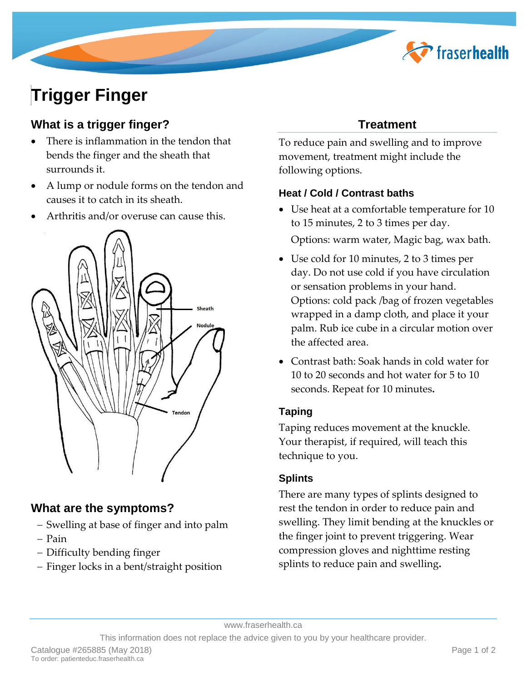

# **Trigger Finger**

# **What is a trigger finger?**

- There is inflammation in the tendon that bends the finger and the sheath that surrounds it.
- A lump or nodule forms on the tendon and causes it to catch in its sheath.
- Arthritis and/or overuse can cause this.



## **What are the symptoms?**

- Swelling at base of finger and into palm
- Pain
- Difficulty bending finger
- Finger locks in a bent/straight position

# **Treatment**

To reduce pain and swelling and to improve movement, treatment might include the following options.

## **Heat / Cold / Contrast baths**

 Use heat at a comfortable temperature for 10 to 15 minutes, 2 to 3 times per day.

Options: warm water, Magic bag, wax bath.

- Use cold for 10 minutes, 2 to 3 times per day. Do not use cold if you have circulation or sensation problems in your hand. Options: cold pack /bag of frozen vegetables wrapped in a damp cloth, and place it your palm. Rub ice cube in a circular motion over the affected area.
- Contrast bath: Soak hands in cold water for 10 to 20 seconds and hot water for 5 to 10 seconds. Repeat for 10 minutes**.**

## **Taping**

Taping reduces movement at the knuckle. Your therapist, if required, will teach this technique to you.

## **Splints**

There are many types of splints designed to rest the tendon in order to reduce pain and swelling. They limit bending at the knuckles or the finger joint to prevent triggering. Wear compression gloves and nighttime resting splints to reduce pain and swelling**.**